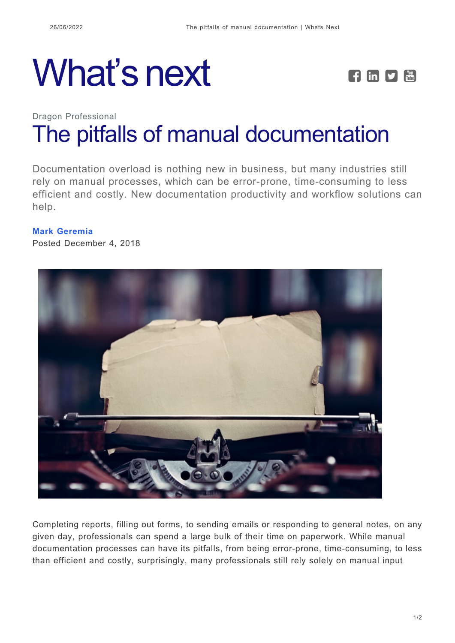# What's next **FEPE**



## Dragon Professional [The pitfalls of manual documentation](https://whatsnext.nuance.com/dragon-professional/manual-documentation-pitfalls/)

Documentation overload is nothing new in business, but many industries still rely on manual processes, which can be error-prone, time-consuming to less efficient and costly. New documentation productivity and workflow solutions can help.

#### **[Mark Geremia](https://whatsnext.nuance.com/author/mark-geremia/)**

Posted December 4, 2018



Completing reports, filling out forms, to sending emails or responding to general notes, on any given day, professionals can spend a large bulk of their time on paperwork. While manual documentation processes can have its pitfalls, from being error-prone, time-consuming, to less than efficient and costly, surprisingly, many professionals still rely solely on manual input